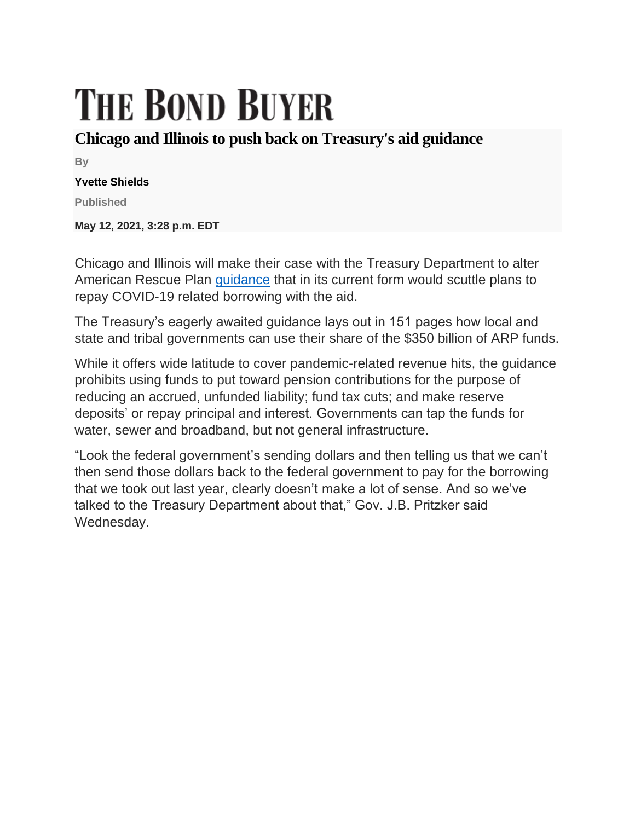## **THE BOND BUYER**

## **Chicago and Illinois to push back on Treasury's aid guidance**

**By**

## **Yvette Shields**

**Published**

**May 12, 2021, 3:28 p.m. EDT**

Chicago and Illinois will make their case with the Treasury Department to alter American Rescue Plan [guidance](https://home.treasury.gov/system/files/136/FRF-Interim-Final-Rule.pdf) that in its current form would scuttle plans to repay COVID-19 related borrowing with the aid.

The Treasury's eagerly awaited guidance lays out in 151 pages how local and state and tribal governments can use their share of the \$350 billion of ARP funds.

While it offers wide latitude to cover pandemic-related revenue hits, the guidance prohibits using funds to put toward pension contributions for the purpose of reducing an accrued, unfunded liability; fund tax cuts; and make reserve deposits' or repay principal and interest. Governments can tap the funds for water, sewer and broadband, but not general infrastructure.

"Look the federal government's sending dollars and then telling us that we can't then send those dollars back to the federal government to pay for the borrowing that we took out last year, clearly doesn't make a lot of sense. And so we've talked to the Treasury Department about that," Gov. J.B. Pritzker said Wednesday.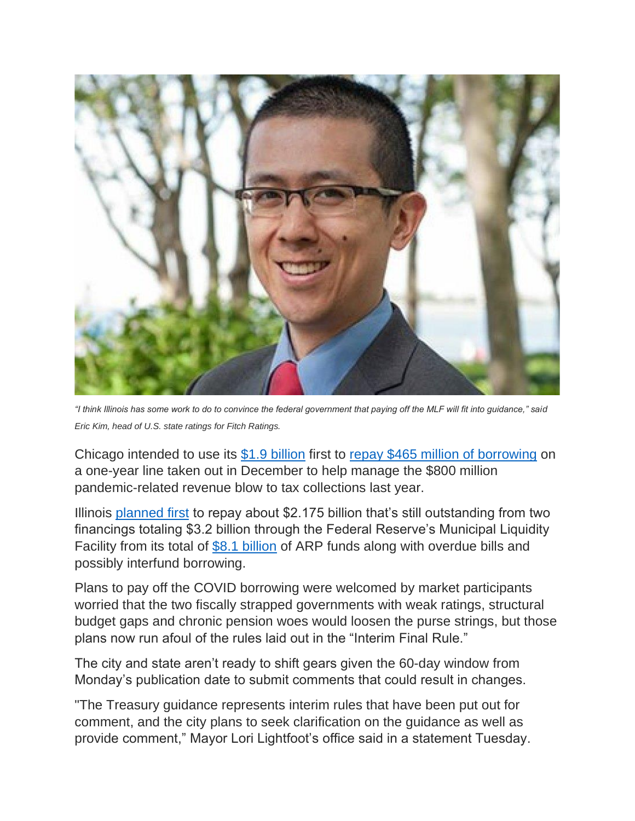

*"I think Illinois has some work to do to convince the federal government that paying off the MLF will fit into guidance," said Eric Kim, head of U.S. state ratings for Fitch Ratings.*

Chicago intended to use its [\\$1.9 billion](https://home.treasury.gov/system/files/136/fiscalrecoveryfunds-metrocitiesfunding1-508A.pdf) first to [repay \\$465 million of borrowing](https://www.bondbuyer.com/news/chicago-pitches-municipal-bond-investors-on-citys-fiscal-prospects) on a one-year line taken out in December to help manage the \$800 million pandemic-related revenue blow to tax collections last year.

Illinois [planned first](https://www.bondbuyer.com/news/illinois-bill-backlog-joins-its-credit-spreads-in-shrinking-to-years-long-lows) to repay about \$2.175 billion that's still outstanding from two financings totaling \$3.2 billion through the Federal Reserve's Municipal Liquidity Facility from its total of [\\$8.1 billion](https://home.treasury.gov/system/files/136/fiscalrecoveryfunds-statefunding1-508A.pdf) of ARP funds along with overdue bills and possibly interfund borrowing.

Plans to pay off the COVID borrowing were welcomed by market participants worried that the two fiscally strapped governments with weak ratings, structural budget gaps and chronic pension woes would loosen the purse strings, but those plans now run afoul of the rules laid out in the "Interim Final Rule."

The city and state aren't ready to shift gears given the 60-day window from Monday's publication date to submit comments that could result in changes.

"The Treasury guidance represents interim rules that have been put out for comment, and the city plans to seek clarification on the guidance as well as provide comment," Mayor Lori Lightfoot's office said in a statement Tuesday.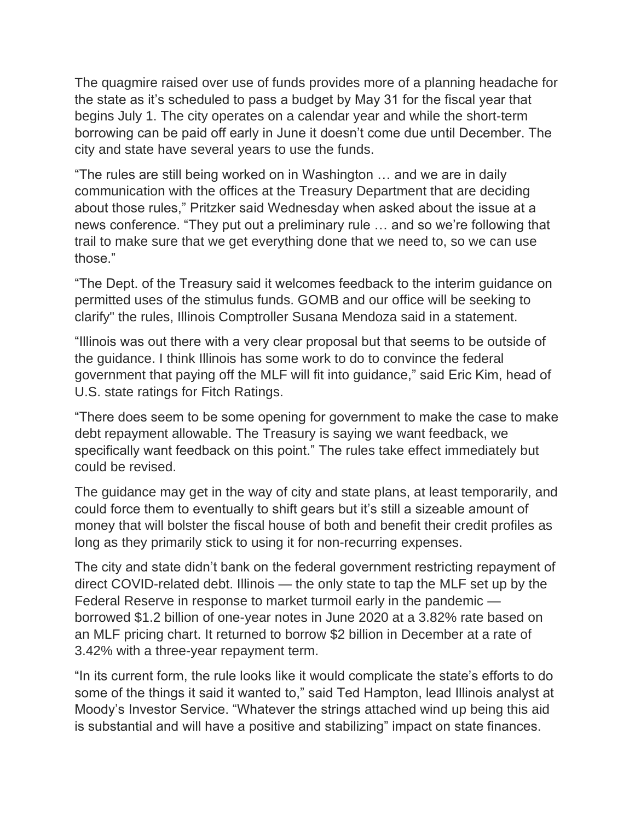The quagmire raised over use of funds provides more of a planning headache for the state as it's scheduled to pass a budget by May 31 for the fiscal year that begins July 1. The city operates on a calendar year and while the short-term borrowing can be paid off early in June it doesn't come due until December. The city and state have several years to use the funds.

"The rules are still being worked on in Washington … and we are in daily communication with the offices at the Treasury Department that are deciding about those rules," Pritzker said Wednesday when asked about the issue at a news conference. "They put out a preliminary rule … and so we're following that trail to make sure that we get everything done that we need to, so we can use those."

"The Dept. of the Treasury said it welcomes feedback to the interim guidance on permitted uses of the stimulus funds. GOMB and our office will be seeking to clarify" the rules, Illinois Comptroller Susana Mendoza said in a statement.

"Illinois was out there with a very clear proposal but that seems to be outside of the guidance. I think Illinois has some work to do to convince the federal government that paying off the MLF will fit into guidance," said Eric Kim, head of U.S. state ratings for Fitch Ratings.

"There does seem to be some opening for government to make the case to make debt repayment allowable. The Treasury is saying we want feedback, we specifically want feedback on this point." The rules take effect immediately but could be revised.

The guidance may get in the way of city and state plans, at least temporarily, and could force them to eventually to shift gears but it's still a sizeable amount of money that will bolster the fiscal house of both and benefit their credit profiles as long as they primarily stick to using it for non-recurring expenses.

The city and state didn't bank on the federal government restricting repayment of direct COVID-related debt. Illinois — the only state to tap the MLF set up by the Federal Reserve in response to market turmoil early in the pandemic borrowed \$1.2 billion of one-year notes in June 2020 at a 3.82% rate based on an MLF pricing chart. It returned to borrow \$2 billion in December at a rate of 3.42% with a three-year repayment term.

"In its current form, the rule looks like it would complicate the state's efforts to do some of the things it said it wanted to," said Ted Hampton, lead Illinois analyst at Moody's Investor Service. "Whatever the strings attached wind up being this aid is substantial and will have a positive and stabilizing" impact on state finances.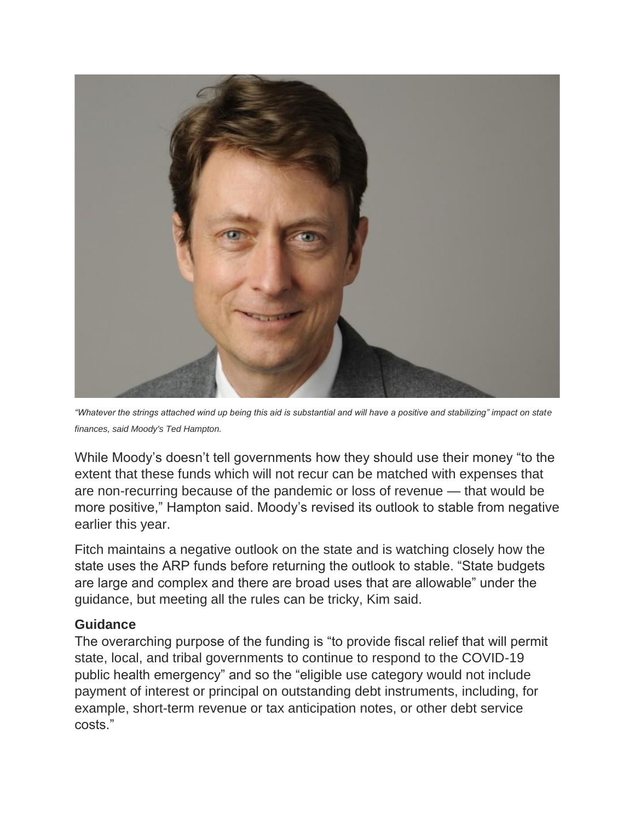

*"Whatever the strings attached wind up being this aid is substantial and will have a positive and stabilizing" impact on state finances, said Moody's Ted Hampton.*

While Moody's doesn't tell governments how they should use their money "to the extent that these funds which will not recur can be matched with expenses that are non-recurring because of the pandemic or loss of revenue — that would be more positive," Hampton said. Moody's revised its outlook to stable from negative earlier this year.

Fitch maintains a negative outlook on the state and is watching closely how the state uses the ARP funds before returning the outlook to stable. "State budgets are large and complex and there are broad uses that are allowable" under the guidance, but meeting all the rules can be tricky, Kim said.

## **Guidance**

The overarching purpose of the funding is "to provide fiscal relief that will permit state, local, and tribal governments to continue to respond to the COVID-19 public health emergency" and so the "eligible use category would not include payment of interest or principal on outstanding debt instruments, including, for example, short-term revenue or tax anticipation notes, or other debt service costs."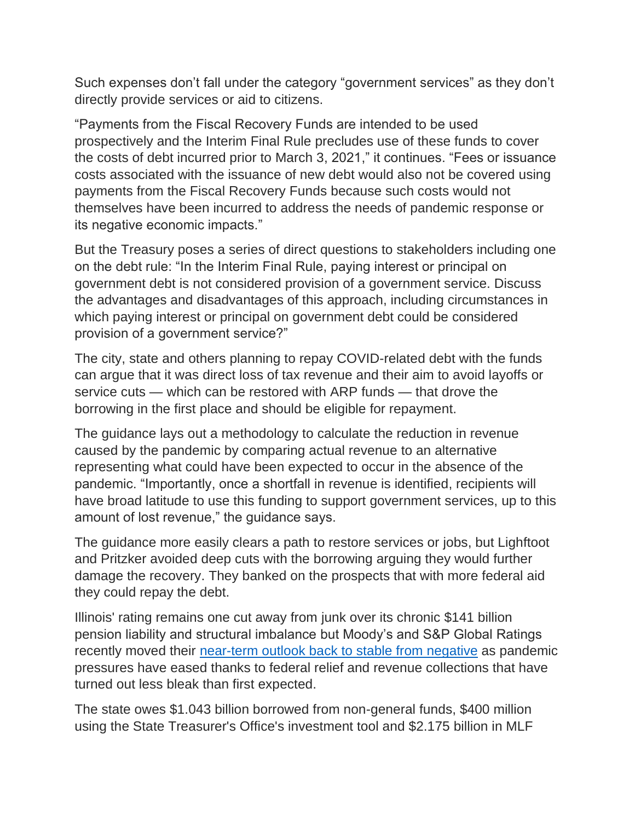Such expenses don't fall under the category "government services" as they don't directly provide services or aid to citizens.

"Payments from the Fiscal Recovery Funds are intended to be used prospectively and the Interim Final Rule precludes use of these funds to cover the costs of debt incurred prior to March 3, 2021," it continues. "Fees or issuance costs associated with the issuance of new debt would also not be covered using payments from the Fiscal Recovery Funds because such costs would not themselves have been incurred to address the needs of pandemic response or its negative economic impacts."

But the Treasury poses a series of direct questions to stakeholders including one on the debt rule: "In the Interim Final Rule, paying interest or principal on government debt is not considered provision of a government service. Discuss the advantages and disadvantages of this approach, including circumstances in which paying interest or principal on government debt could be considered provision of a government service?"

The city, state and others planning to repay COVID-related debt with the funds can argue that it was direct loss of tax revenue and their aim to avoid layoffs or service cuts — which can be restored with ARP funds — that drove the borrowing in the first place and should be eligible for repayment.

The guidance lays out a methodology to calculate the reduction in revenue caused by the pandemic by comparing actual revenue to an alternative representing what could have been expected to occur in the absence of the pandemic. "Importantly, once a shortfall in revenue is identified, recipients will have broad latitude to use this funding to support government services, up to this amount of lost revenue," the guidance says.

The guidance more easily clears a path to restore services or jobs, but Lighftoot and Pritzker avoided deep cuts with the borrowing arguing they would further damage the recovery. They banked on the prospects that with more federal aid they could repay the debt.

Illinois' rating remains one cut away from junk over its chronic \$141 billion pension liability and structural imbalance but Moody's and S&P Global Ratings recently moved their [near-term outlook back to stable from](https://www.bondbuyer.com/news/twin-illinois-rating-outlook-bumps-spur-talk-of-upgrade-prospects) negative as pandemic pressures have eased thanks to federal relief and revenue collections that have turned out less bleak than first expected.

The state owes \$1.043 billion borrowed from non-general funds, \$400 million using the State Treasurer's Office's investment tool and \$2.175 billion in MLF